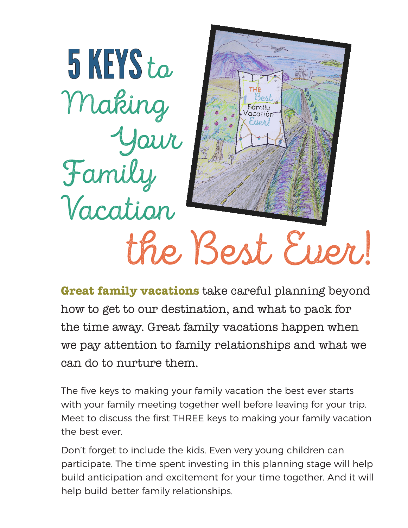

**Great family vacations** take careful planning beyond how to get to our destination, and what to pack for the time away. Great family vacations happen when we pay attention to family relationships and what we can do to nurture them.

The five keys to making your family vacation the best ever starts with your family meeting together well before leaving for your trip. Meet to discuss the first THREE keys to making your family vacation the best ever.

Don't forget to include the kids. Even very young children can participate. The time spent investing in this planning stage will help build anticipation and excitement for your time together. And it will help build better family relationships.